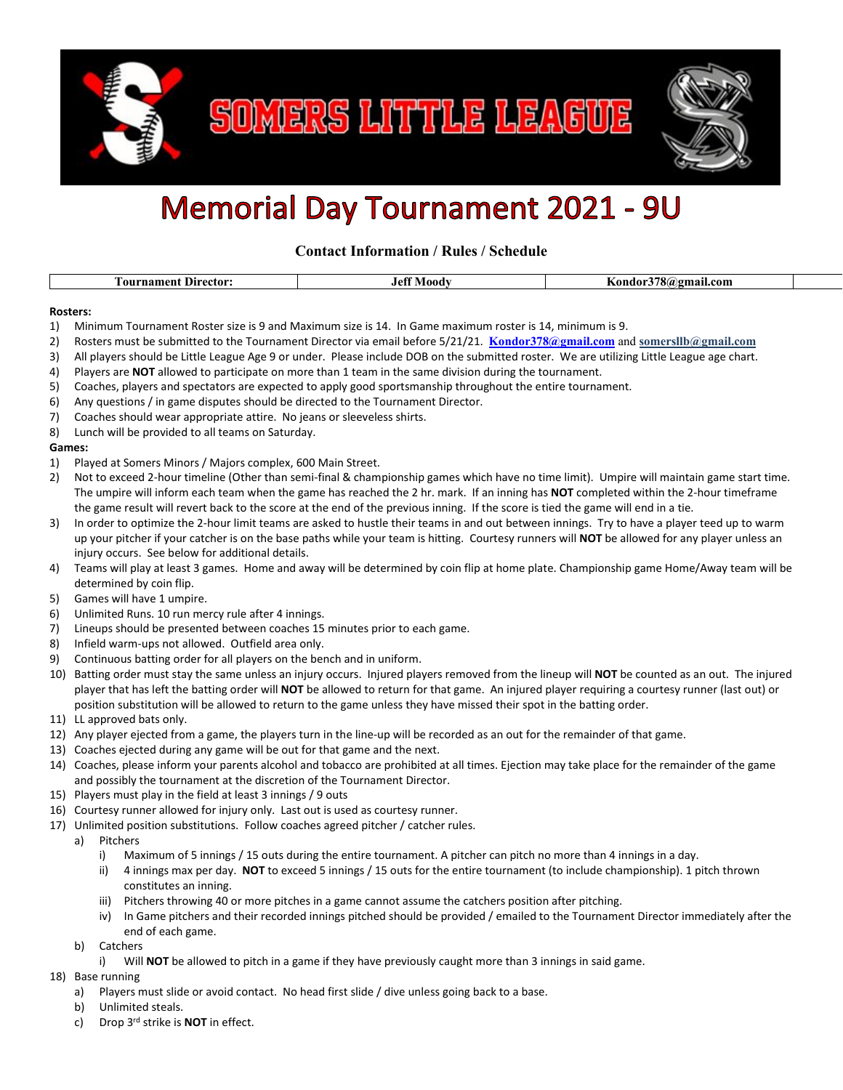

SOMERS LITTLE LEAGUE



## **Memorial Day Tournament 2021 - 9U**

**Contact Information / Rules / Schedule**

|  | $\overline{\phantom{a}}$<br>-ector:<br>. 011' | 10 <sup>4</sup><br>$\sim$ $\sim$<br><u>вла</u> | con<br>чиян.<br>. |  |
|--|-----------------------------------------------|------------------------------------------------|-------------------|--|
|--|-----------------------------------------------|------------------------------------------------|-------------------|--|

## **Rosters:**

- 1) Minimum Tournament Roster size is 9 and Maximum size is 14. In Game maximum roster is 14, minimum is 9.
- 2) Rosters must be submitted to the Tournament Director via email before 5/21/21. **[Kondor378@gmail.com](mailto:Kondor378@gmail.com)** and **somersllb@gmail.com**
- 3) All players should be Little League Age 9 or under. Please include DOB on the submitted roster. We are utilizing Little League age chart.
- 4) Players are **NOT** allowed to participate on more than 1 team in the same division during the tournament.
- 5) Coaches, players and spectators are expected to apply good sportsmanship throughout the entire tournament.
- 6) Any questions / in game disputes should be directed to the Tournament Director.
- 7) Coaches should wear appropriate attire. No jeans or sleeveless shirts.
- 8) Lunch will be provided to all teams on Saturday.

## **Games:**

- 1) Played at Somers Minors / Majors complex, 600 Main Street.
- 2) Not to exceed 2-hour timeline (Other than semi-final & championship games which have no time limit). Umpire will maintain game start time. The umpire will inform each team when the game has reached the 2 hr. mark. If an inning has **NOT** completed within the 2-hour timeframe the game result will revert back to the score at the end of the previous inning. If the score is tied the game will end in a tie.
- 3) In order to optimize the 2-hour limit teams are asked to hustle their teams in and out between innings. Try to have a player teed up to warm up your pitcher if your catcher is on the base paths while your team is hitting. Courtesy runners will **NOT** be allowed for any player unless an injury occurs. See below for additional details.
- 4) Teams will play at least 3 games. Home and away will be determined by coin flip at home plate. Championship game Home/Away team will be determined by coin flip.
- 5) Games will have 1 umpire.
- 6) Unlimited Runs. 10 run mercy rule after 4 innings.
- 7) Lineups should be presented between coaches 15 minutes prior to each game.
- 8) Infield warm-ups not allowed. Outfield area only.
- 9) Continuous batting order for all players on the bench and in uniform.
- 10) Batting order must stay the same unless an injury occurs. Injured players removed from the lineup will **NOT** be counted as an out. The injured player that has left the batting order will **NOT** be allowed to return for that game. An injured player requiring a courtesy runner (last out) or position substitution will be allowed to return to the game unless they have missed their spot in the batting order.
- 11) LL approved bats only.
- 12) Any player ejected from a game, the players turn in the line-up will be recorded as an out for the remainder of that game.
- 13) Coaches ejected during any game will be out for that game and the next.
- 14) Coaches, please inform your parents alcohol and tobacco are prohibited at all times. Ejection may take place for the remainder of the game and possibly the tournament at the discretion of the Tournament Director.
- 15) Players must play in the field at least 3 innings / 9 outs
- 16) Courtesy runner allowed for injury only. Last out is used as courtesy runner.
- 17) Unlimited position substitutions. Follow coaches agreed pitcher / catcher rules.
	- a) Pitchers
		- i) Maximum of 5 innings / 15 outs during the entire tournament. A pitcher can pitch no more than 4 innings in a day.
		- ii) 4 innings max per day. **NOT** to exceed 5 innings / 15 outs for the entire tournament (to include championship). 1 pitch thrown constitutes an inning.
		- iii) Pitchers throwing 40 or more pitches in a game cannot assume the catchers position after pitching.
		- iv) In Game pitchers and their recorded innings pitched should be provided / emailed to the Tournament Director immediately after the end of each game.
	- b) Catchers
		- i) Will **NOT** be allowed to pitch in a game if they have previously caught more than 3 innings in said game.
- 18) Base running
	- a) Players must slide or avoid contact. No head first slide / dive unless going back to a base.
	- b) Unlimited steals.
	- c) Drop 3rd strike is **NOT** in effect.